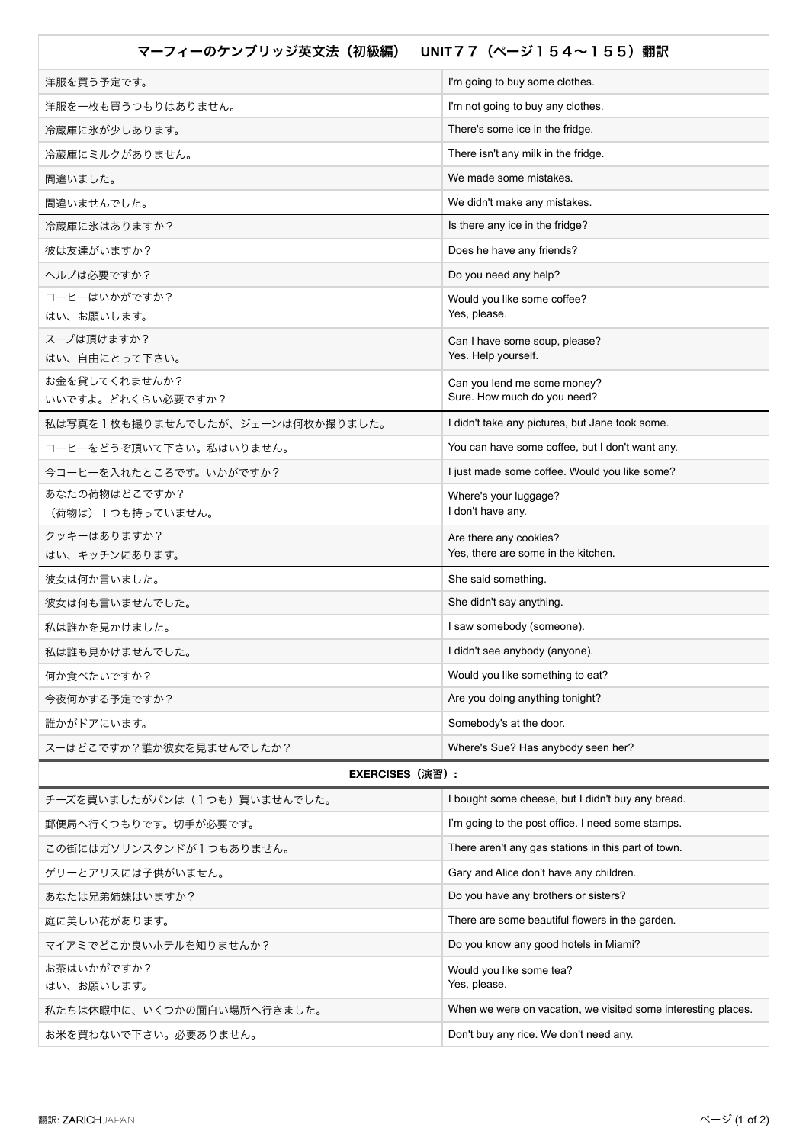| UNIT 7 7 (ページ154~155) 翻訳<br>マーフィーのケンブリッジ英文法 (初級編) |                                                               |
|---------------------------------------------------|---------------------------------------------------------------|
| 洋服を買う予定です。                                        | I'm going to buy some clothes.                                |
| 洋服を一枚も買うつもりはありません。                                | I'm not going to buy any clothes.                             |
| 冷蔵庫に氷が少しあります。                                     | There's some ice in the fridge.                               |
| 冷蔵庫にミルクがありません。                                    | There isn't any milk in the fridge.                           |
| 間違いました。                                           | We made some mistakes.                                        |
| 間違いませんでした。                                        | We didn't make any mistakes.                                  |
| 冷蔵庫に氷はありますか?                                      | Is there any ice in the fridge?                               |
| 彼は友達がいますか?                                        | Does he have any friends?                                     |
| ヘルプは必要ですか?                                        | Do you need any help?                                         |
| コーヒーはいかがですか?                                      | Would you like some coffee?                                   |
| はい、お願いします。                                        | Yes, please.                                                  |
| スープは頂けますか?<br>はい、自由にとって下さい。                       | Can I have some soup, please?<br>Yes. Help yourself.          |
| お金を貸してくれませんか?                                     | Can you lend me some money?                                   |
| いいですよ。どれくらい必要ですか?                                 | Sure. How much do you need?                                   |
| 私は写真を1枚も撮りませんでしたが、ジェーンは何枚か撮りました。                  | I didn't take any pictures, but Jane took some.               |
| コーヒーをどうぞ頂いて下さい。私はいりません。                           | You can have some coffee, but I don't want any.               |
| 今コーヒーを入れたところです。いかがですか?                            | I just made some coffee. Would you like some?                 |
| あなたの荷物はどこですか?                                     | Where's your luggage?                                         |
| (荷物は)1つも持っていません。                                  | I don't have any.                                             |
| クッキーはありますか?<br>はい、キッチンにあります。                      | Are there any cookies?<br>Yes, there are some in the kitchen. |
| 彼女は何か言いました。                                       | She said something.                                           |
| 彼女は何も言いませんでした。                                    | She didn't say anything.                                      |
| 私は誰かを見かけました。                                      | I saw somebody (someone).                                     |
| 私は誰も見かけませんでした。                                    | I didn't see anybody (anyone).                                |
| 何か食べたいですか?                                        | Would you like something to eat?                              |
| 今夜何かする予定ですか?                                      | Are you doing anything tonight?                               |
| 誰かがドアにいます。                                        | Somebody's at the door.                                       |
| スーはどこですか?誰か彼女を見ませんでしたか?                           | Where's Sue? Has anybody seen her?                            |
| <b>EXERCISES</b> (演習) :                           |                                                               |
| チーズを買いましたがパンは (1つも)買いませんでした。                      | I bought some cheese, but I didn't buy any bread.             |
| 郵便局へ行くつもりです。切手が必要です。                              | I'm going to the post office. I need some stamps.             |
| この街にはガソリンスタンドが1つもありません。                           | There aren't any gas stations in this part of town.           |
| ゲリーとアリスには子供がいません。                                 | Gary and Alice don't have any children.                       |
| あなたは兄弟姉妹はいますか?                                    | Do you have any brothers or sisters?                          |
| 庭に美しい花があります。                                      | There are some beautiful flowers in the garden.               |
| マイアミでどこか良いホテルを知りませんか?                             | Do you know any good hotels in Miami?                         |
| お茶はいかがですか?                                        | Would you like some tea?                                      |
| はい、お願いします。                                        | Yes, please.                                                  |
| 私たちは休暇中に、いくつかの面白い場所へ行きました。                        | When we were on vacation, we visited some interesting places. |
| お米を買わないで下さい。必要ありません。                              | Don't buy any rice. We don't need any.                        |